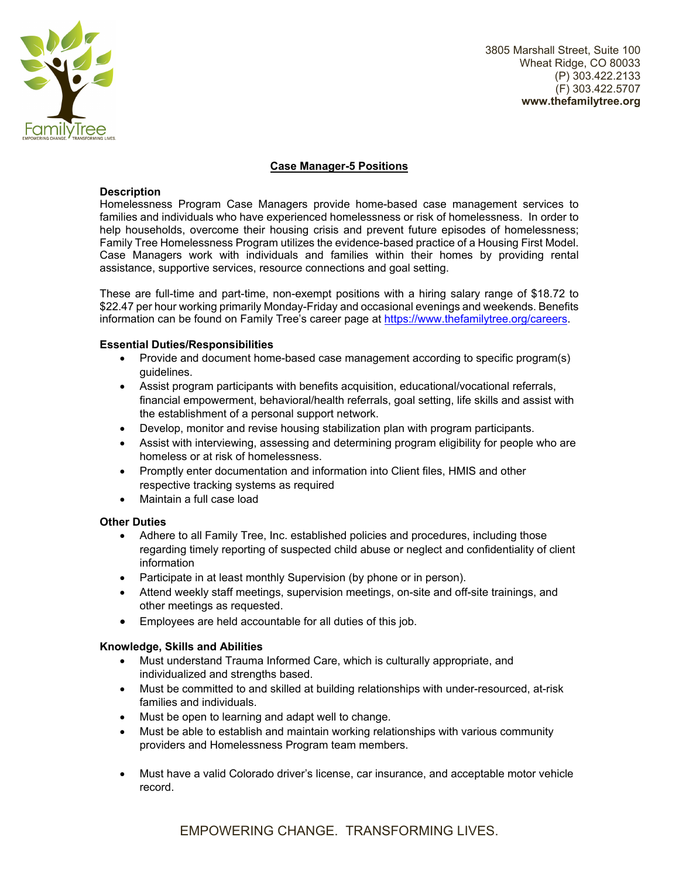

3805 Marshall Street, Suite 100 Wheat Ridge, CO 80033 (P) 303.422.2133 (F) 303.422.5707 **www.thefamilytree.org** 

# **Case Manager-5 Positions**

#### **Description**

Homelessness Program Case Managers provide home-based case management services to families and individuals who have experienced homelessness or risk of homelessness. In order to help households, overcome their housing crisis and prevent future episodes of homelessness; Family Tree Homelessness Program utilizes the evidence-based practice of a Housing First Model. Case Managers work with individuals and families within their homes by providing rental assistance, supportive services, resource connections and goal setting.

These are full-time and part-time, non-exempt positions with a hiring salary range of \$18.72 to \$22.47 per hour working primarily Monday-Friday and occasional evenings and weekends. Benefits information can be found on Family Tree's career page at https://www.thefamilytree.org/careers.

### **Essential Duties/Responsibilities**

- Provide and document home-based case management according to specific program(s) guidelines.
- Assist program participants with benefits acquisition, educational/vocational referrals, financial empowerment, behavioral/health referrals, goal setting, life skills and assist with the establishment of a personal support network.
- Develop, monitor and revise housing stabilization plan with program participants.
- Assist with interviewing, assessing and determining program eligibility for people who are homeless or at risk of homelessness.
- Promptly enter documentation and information into Client files, HMIS and other respective tracking systems as required
- Maintain a full case load

## **Other Duties**

- Adhere to all Family Tree, Inc. established policies and procedures, including those regarding timely reporting of suspected child abuse or neglect and confidentiality of client information
- Participate in at least monthly Supervision (by phone or in person).
- Attend weekly staff meetings, supervision meetings, on-site and off-site trainings, and other meetings as requested.
- Employees are held accountable for all duties of this job.

## **Knowledge, Skills and Abilities**

- Must understand Trauma Informed Care, which is culturally appropriate, and individualized and strengths based.
- Must be committed to and skilled at building relationships with under-resourced, at-risk families and individuals.
- Must be open to learning and adapt well to change.
- Must be able to establish and maintain working relationships with various community providers and Homelessness Program team members.
- Must have a valid Colorado driver's license, car insurance, and acceptable motor vehicle record.